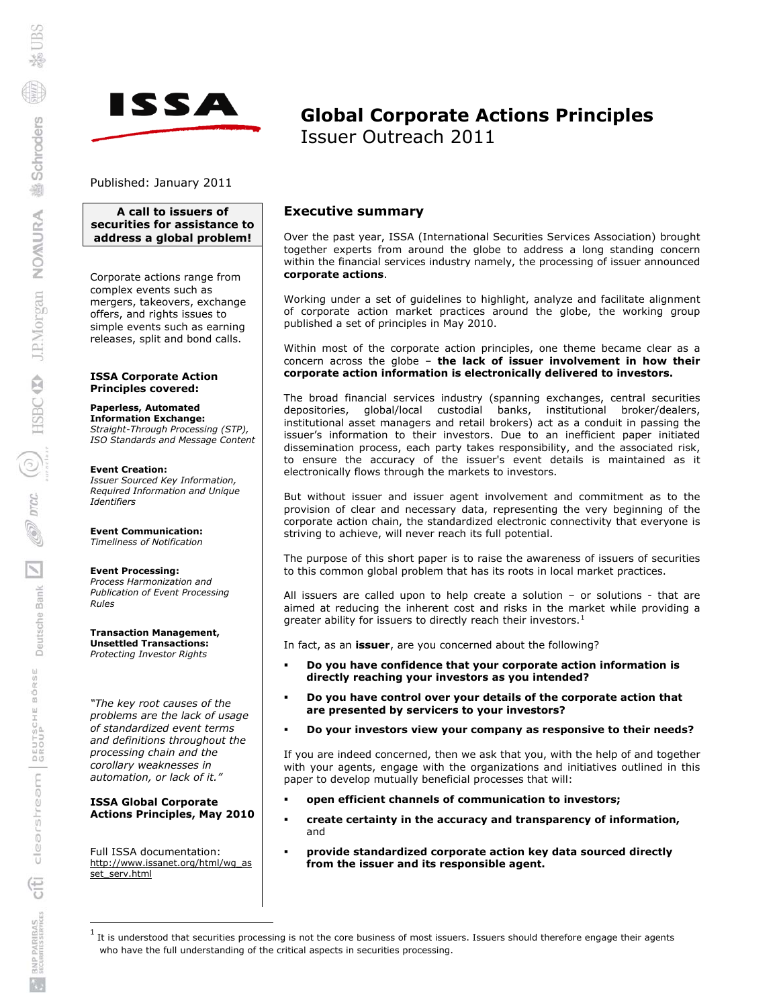

# **Global Corporate Actions Principles**  Issuer Outreach 2011

Published: January 2011

### **A call to issuers of securities for assistance to address a global problem!**

Corporate actions range from complex events such as mergers, takeovers, exchange offers, and rights issues to simple events such as earning releases, split and bond calls.

**ISSA Corporate Action Principles covered:** 

### **Paperless, Automated**

**Information Exchange:**  *Straight-Through Processing (STP), ISO Standards and Message Content*

#### **Event Creation:**

*Issuer Sourced Key Information, Required Information and Unique Identifiers* 

#### **Event Communication:**  *Timeliness of Notification*

#### **Event Processing:**

*Process Harmonization and Publication of Event Processing Rules* 

**Transaction Management, Unsettled Transactions:**  *Protecting Investor Rights*

*"The key root causes of the problems are the lack of usage of standardized event terms and definitions throughout the processing chain and the corollary weaknesses in automation, or lack of it."* 

#### **ISSA Global Corporate Actions Principles, May 2010**

Full ISSA documentation: [http://www.issanet.org/html/wg\\_as](http://www.issanet.org/html/wg_asset_serv.html) [set\\_serv.html](http://www.issanet.org/html/wg_asset_serv.html)

 $\overline{a}$ 

### **Executive summary**

Over the past year, ISSA (International Securities Services Association) brought together experts from around the globe to address a long standing concern within the financial services industry namely, the processing of issuer announced **corporate actions**.

Working under a set of guidelines to highlight, analyze and facilitate alignment of corporate action market practices around the globe, the working group published a set of principles in May 2010.

Within most of the corporate action principles, one theme became clear as a concern across the globe – **the lack of issuer involvement in how their corporate action information is electronically delivered to investors.** 

The broad financial services industry (spanning exchanges, central securities depositories, global/local custodial banks, institutional broker/dealers, institutional asset managers and retail brokers) act as a conduit in passing the issuer's information to their investors. Due to an inefficient paper initiated dissemination process, each party takes responsibility, and the associated risk, to ensure the accuracy of the issuer's event details is maintained as it electronically flows through the markets to investors.

But without issuer and issuer agent involvement and commitment as to the provision of clear and necessary data, representing the very beginning of the corporate action chain, the standardized electronic connectivity that everyone is striving to achieve, will never reach its full potential.

The purpose of this short paper is to raise the awareness of issuers of securities to this common global problem that has its roots in local market practices.

All issuers are called upon to help create a solution – or solutions - that are aimed at reducing the inherent cost and risks in the market while providing a greater ability for issuers to directly reach their investors.<sup>[1](#page-0-0)</sup>

In fact, as an **issuer**, are you concerned about the following?

- **Do you have confidence that your corporate action information is directly reaching your investors as you intended?**
- **Do you have control over your details of the corporate action that are presented by servicers to your investors?**
- **Do your investors view your company as responsive to their needs?**

If you are indeed concerned, then we ask that you, with the help of and together with your agents, engage with the organizations and initiatives outlined in this paper to develop mutually beneficial processes that will:

- **open efficient channels of communication to investors;**
- **create certainty in the accuracy and transparency of information,**  and
- **provide standardized corporate action key data sourced directly from the issuer and its responsible agent.**

<span id="page-0-0"></span><sup>1</sup> It is understood that securities processing is not the core business of most issuers. Issuers should therefore engage their agents who have the full understanding of the critical aspects in securities processing.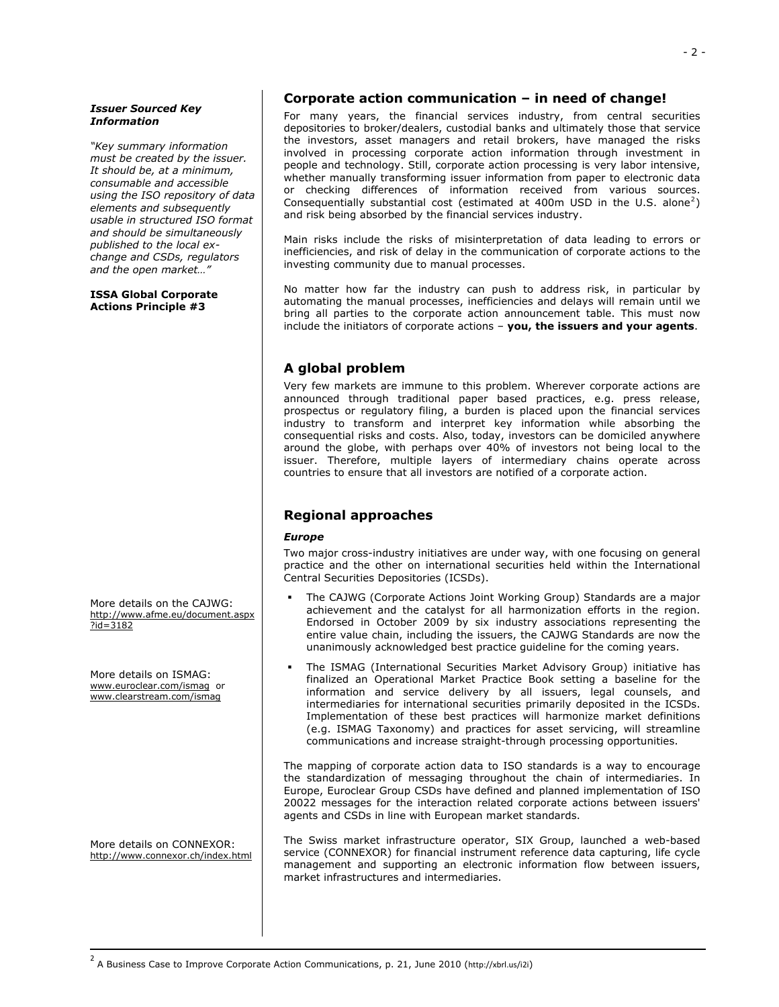#### *Issuer Sourced Key Information*

*"Key summary information must be created by the issuer. It should be, at a minimum, consumable and accessible using the ISO repository of data elements and subsequently usable in structured ISO format and should be simultaneously published to the local exchange and CSDs, regulators and the open market…"* 

#### **ISSA Global Corporate Actions Principle #3**

More details on the CAJWG: [http://www.afme.eu/document.aspx](http://www.afme.eu/document.aspx?id=3182) [?id=3182](http://www.afme.eu/document.aspx?id=3182)

More details on ISMAG: [www.euroclear.com/ismag](http://www.euroclear.com/ismag) or [www.clearstream.com/ismag](http://www.clearstream.com/ismag) 

More details on CONNEXOR: <http://www.connexor.ch/index.html>

<span id="page-1-0"></span> $\overline{a}$ 

### **Corporate action communication – in need of change!**

For many years, the financial services industry, from central securities depositories to broker/dealers, custodial banks and ultimately those that service the investors, asset managers and retail brokers, have managed the risks involved in processing corporate action information through investment in people and technology. Still, corporate action processing is very labor intensive, whether manually transforming issuer information from paper to electronic data or checking differences of information received from various sources. Consequentially substantial cost (estimated at 400m USD in the U.S. alone<sup>[2](#page-1-0)</sup>) and risk being absorbed by the financial services industry.

Main risks include the risks of misinterpretation of data leading to errors or inefficiencies, and risk of delay in the communication of corporate actions to the investing community due to manual processes.

No matter how far the industry can push to address risk, in particular by automating the manual processes, inefficiencies and delays will remain until we bring all parties to the corporate action announcement table. This must now include the initiators of corporate actions – **you, the issuers and your agents**.

### **A global problem**

Very few markets are immune to this problem. Wherever corporate actions are announced through traditional paper based practices, e.g. press release, prospectus or regulatory filing, a burden is placed upon the financial services industry to transform and interpret key information while absorbing the consequential risks and costs. Also, today, investors can be domiciled anywhere around the globe, with perhaps over 40% of investors not being local to the issuer. Therefore, multiple layers of intermediary chains operate across countries to ensure that all investors are notified of a corporate action.

### **Regional approaches**

### *Europe*

Two major cross-industry initiatives are under way, with one focusing on general practice and the other on international securities held within the International Central Securities Depositories (ICSDs).

- The CAJWG (Corporate Actions Joint Working Group) Standards are a major achievement and the catalyst for all harmonization efforts in the region. Endorsed in October 2009 by six industry associations representing the entire value chain, including the issuers, the CAJWG Standards are now the unanimously acknowledged best practice guideline for the coming years.
- The ISMAG (International Securities Market Advisory Group) initiative has finalized an Operational Market Practice Book setting a baseline for the information and service delivery by all issuers, legal counsels, and intermediaries for international securities primarily deposited in the ICSDs. Implementation of these best practices will harmonize market definitions (e.g. ISMAG Taxonomy) and practices for asset servicing, will streamline communications and increase straight-through processing opportunities.

The mapping of corporate action data to ISO standards is a way to encourage the standardization of messaging throughout the chain of intermediaries. In Europe, Euroclear Group CSDs have defined and planned implementation of ISO 20022 messages for the interaction related corporate actions between issuers' agents and CSDs in line with European market standards.

The Swiss market infrastructure operator, SIX Group, launched a web-based service (CONNEXOR) for financial instrument reference data capturing, life cycle management and supporting an electronic information flow between issuers, market infrastructures and intermediaries.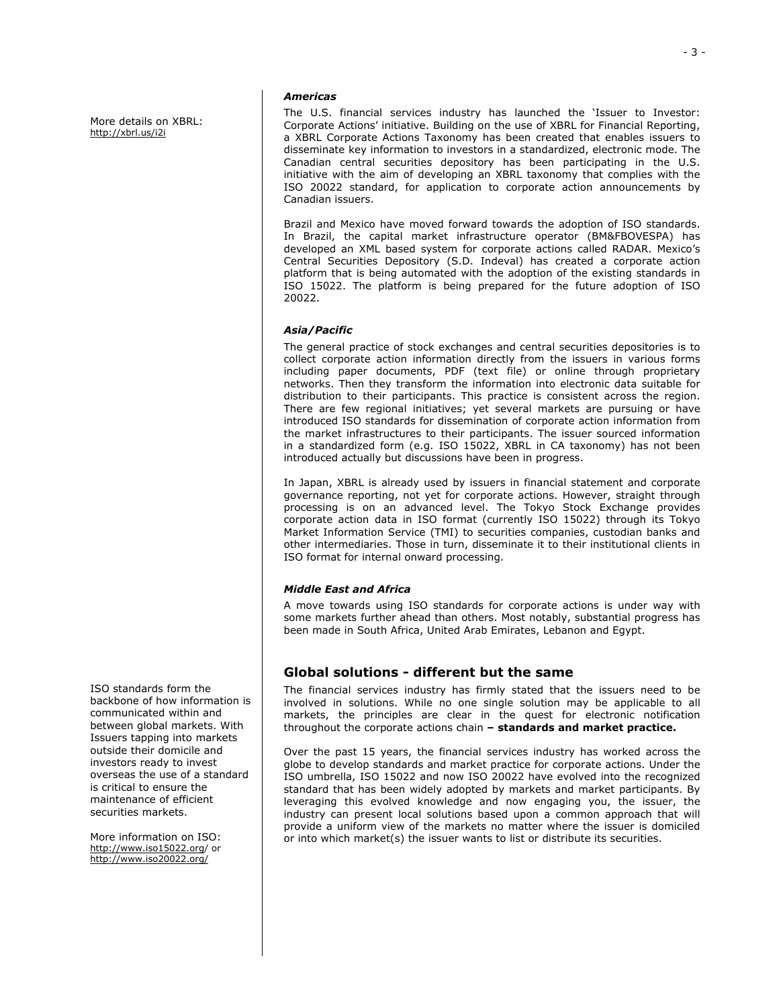More details on XBRL: <http://xbrl.us/i2i>

#### *Americas*

The U.S. financial services industry has launched the 'Issuer to Investor: Corporate Actions' initiative. Building on the use of XBRL for Financial Reporting, a XBRL Corporate Actions Taxonomy has been created that enables issuers to disseminate key information to investors in a standardized, electronic mode. The Canadian central securities depository has been participating in the U.S. initiative with the aim of developing an XBRL taxonomy that complies with the ISO 20022 standard, for application to corporate action announcements by Canadian issuers.

Brazil and Mexico have moved forward towards the adoption of ISO standards. In Brazil, the capital market infrastructure operator (BM&FBOVESPA) has developed an XML based system for corporate actions called RADAR. Mexico's Central Securities Depository (S.D. Indeval) has created a corporate action platform that is being automated with the adoption of the existing standards in ISO 15022. The platform is being prepared for the future adoption of ISO 20022.

### *Asia/Pacific*

The general practice of stock exchanges and central securities depositories is to collect corporate action information directly from the issuers in various forms including paper documents, PDF (text file) or online through proprietary networks. Then they transform the information into electronic data suitable for distribution to their participants. This practice is consistent across the region. There are few regional initiatives; yet several markets are pursuing or have introduced ISO standards for dissemination of corporate action information from the market infrastructures to their participants. The issuer sourced information in a standardized form (e.g. ISO 15022, XBRL in CA taxonomy) has not been introduced actually but discussions have been in progress.

In Japan, XBRL is already used by issuers in financial statement and corporate governance reporting, not yet for corporate actions. However, straight through processing is on an advanced level. The Tokyo Stock Exchange provides corporate action data in ISO format (currently ISO 15022) through its Tokyo Market Information Service (TMI) to securities companies, custodian banks and other intermediaries. Those in turn, disseminate it to their institutional clients in ISO format for internal onward processing.

### *Middle East and Africa*

A move towards using ISO standards for corporate actions is under way with some markets further ahead than others. Most notably, substantial progress has been made in South Africa, United Arab Emirates, Lebanon and Egypt.

### **Global solutions - different but the same**

The financial services industry has firmly stated that the issuers need to be involved in solutions. While no one single solution may be applicable to all markets, the principles are clear in the quest for electronic notification throughout the corporate actions chain **– standards and market practice.** 

Over the past 15 years, the financial services industry has worked across the globe to develop standards and market practice for corporate actions. Under the ISO umbrella, ISO 15022 and now ISO 20022 have evolved into the recognized standard that has been widely adopted by markets and market participants. By leveraging this evolved knowledge and now engaging you, the issuer, the industry can present local solutions based upon a common approach that will provide a uniform view of the markets no matter where the issuer is domiciled or into which market(s) the issuer wants to list or distribute its securities.

ISO standards form the backbone of how information is communicated within and between global markets. With Issuers tapping into markets outside their domicile and investors ready to invest overseas the use of a standard is critical to ensure the maintenance of efficient securities markets.

More information on ISO: <http://www.iso15022.org/> or <http://www.iso20022.org/>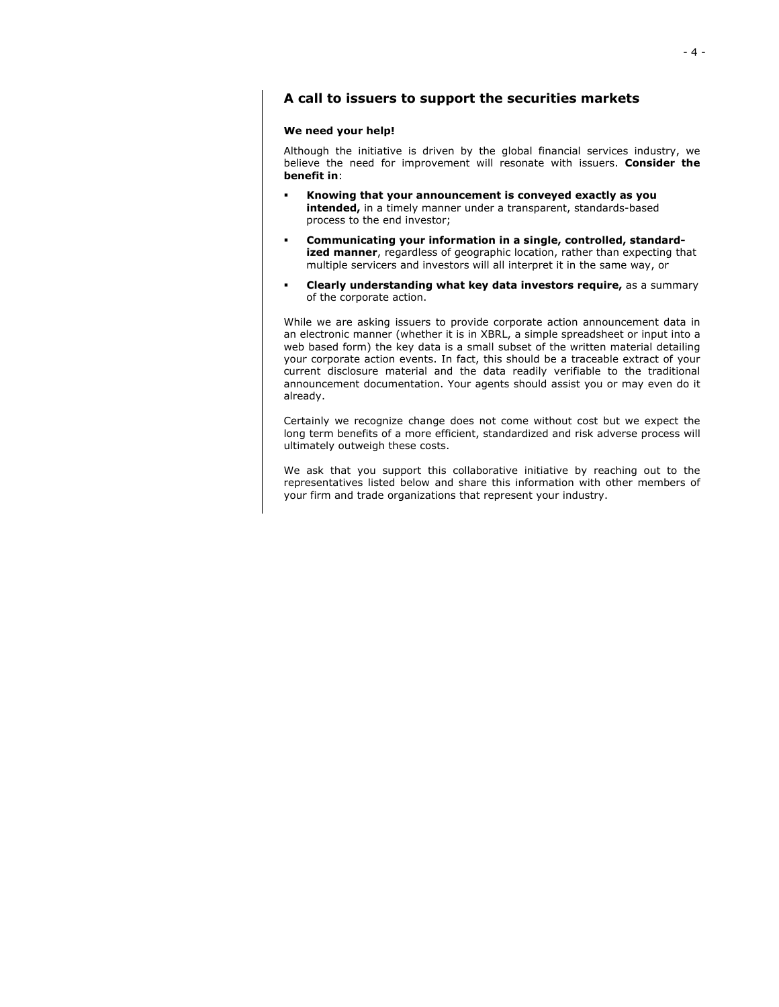### **A call to issuers to support the securities markets**

#### **We need your help!**

Although the initiative is driven by the global financial services industry, we believe the need for improvement will resonate with issuers. **Consider the benefit in**:

- **Knowing that your announcement is conveyed exactly as you intended,** in a timely manner under a transparent, standards-based process to the end investor;
- **Communicating your information in a single, controlled, standardized manner**, regardless of geographic location, rather than expecting that multiple servicers and investors will all interpret it in the same way, or
- **Clearly understanding what key data investors require, as a summary** of the corporate action.

While we are asking issuers to provide corporate action announcement data in an electronic manner (whether it is in XBRL, a simple spreadsheet or input into a web based form) the key data is a small subset of the written material detailing your corporate action events. In fact, this should be a traceable extract of your current disclosure material and the data readily verifiable to the traditional announcement documentation. Your agents should assist you or may even do it already.

Certainly we recognize change does not come without cost but we expect the long term benefits of a more efficient, standardized and risk adverse process will ultimately outweigh these costs.

We ask that you support this collaborative initiative by reaching out to the representatives listed below and share this information with other members of your firm and trade organizations that represent your industry.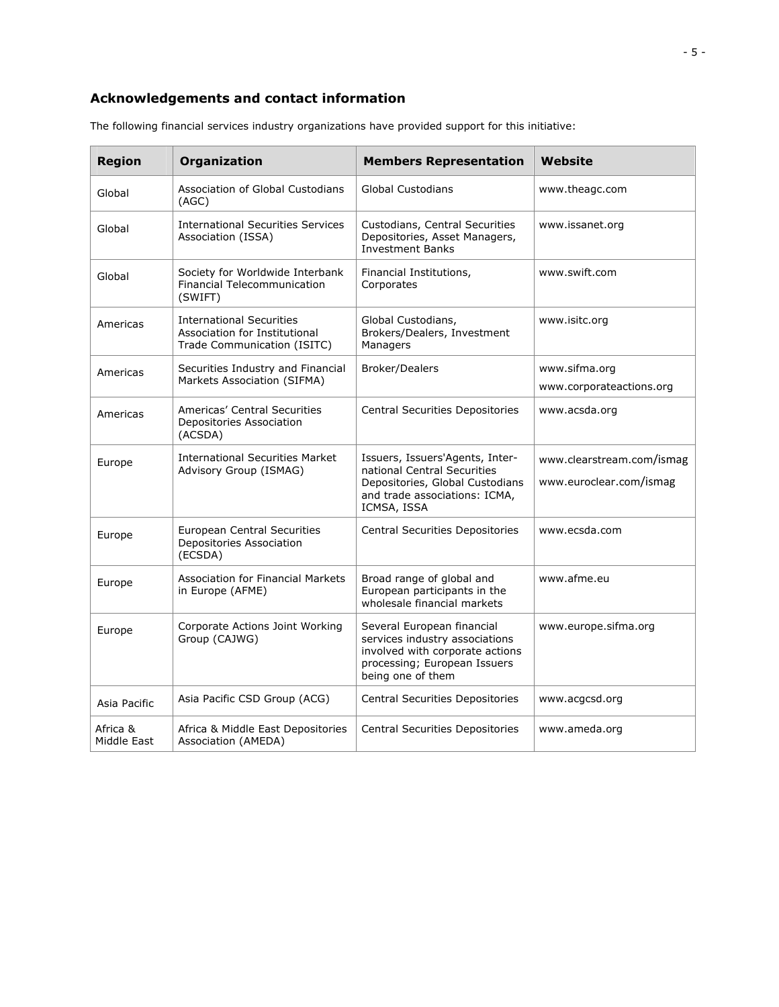## **Acknowledgements and contact information**

| <b>Region</b>           | Organization                                                                                    | <b>Members Representation</b>                                                                                                                                                | Website                                              |
|-------------------------|-------------------------------------------------------------------------------------------------|------------------------------------------------------------------------------------------------------------------------------------------------------------------------------|------------------------------------------------------|
| Global                  | <b>Association of Global Custodians</b><br>(AGC)                                                | <b>Global Custodians</b><br>www.theagc.com                                                                                                                                   |                                                      |
| Global                  | <b>International Securities Services</b><br>Association (ISSA)                                  | Custodians, Central Securities<br>www.issanet.org<br>Depositories, Asset Managers,<br><b>Investment Banks</b>                                                                |                                                      |
| Global                  | Society for Worldwide Interbank<br><b>Financial Telecommunication</b><br>(SWIFT)                | Financial Institutions,<br>Corporates                                                                                                                                        | www.swift.com                                        |
| Americas                | <b>International Securities</b><br>Association for Institutional<br>Trade Communication (ISITC) | Global Custodians,<br>www.isitc.org<br>Brokers/Dealers, Investment<br>Managers                                                                                               |                                                      |
| Americas                | Securities Industry and Financial<br>Markets Association (SIFMA)                                | <b>Broker/Dealers</b>                                                                                                                                                        | www.sifma.org                                        |
|                         |                                                                                                 |                                                                                                                                                                              | www.corporateactions.org                             |
| Americas                | Americas' Central Securities<br>Depositories Association<br>(ACSDA)                             | Central Securities Depositories                                                                                                                                              | www.acsda.org                                        |
| Europe                  | <b>International Securities Market</b><br>Advisory Group (ISMAG)                                | Issuers, Issuers'Agents, Inter-<br>national Central Securities<br>Depositories, Global Custodians<br>and trade associations: ICMA,<br>ICMSA, ISSA                            | www.clearstream.com/ismag<br>www.euroclear.com/ismag |
| Europe                  | <b>European Central Securities</b><br>Depositories Association<br>(ECSDA)                       | Central Securities Depositories                                                                                                                                              | www.ecsda.com                                        |
| Europe                  | Association for Financial Markets<br>in Europe (AFME)                                           | Broad range of global and<br>www.afme.eu<br>European participants in the<br>wholesale financial markets                                                                      |                                                      |
| Europe                  | Corporate Actions Joint Working<br>Group (CAJWG)                                                | Several European financial<br>www.europe.sifma.org<br>services industry associations<br>involved with corporate actions<br>processing; European Issuers<br>being one of them |                                                      |
| Asia Pacific            | Asia Pacific CSD Group (ACG)                                                                    | Central Securities Depositories<br>www.acgcsd.org                                                                                                                            |                                                      |
| Africa &<br>Middle East | Africa & Middle East Depositories<br>Association (AMEDA)                                        | Central Securities Depositories<br>www.ameda.org                                                                                                                             |                                                      |

The following financial services industry organizations have provided support for this initiative: